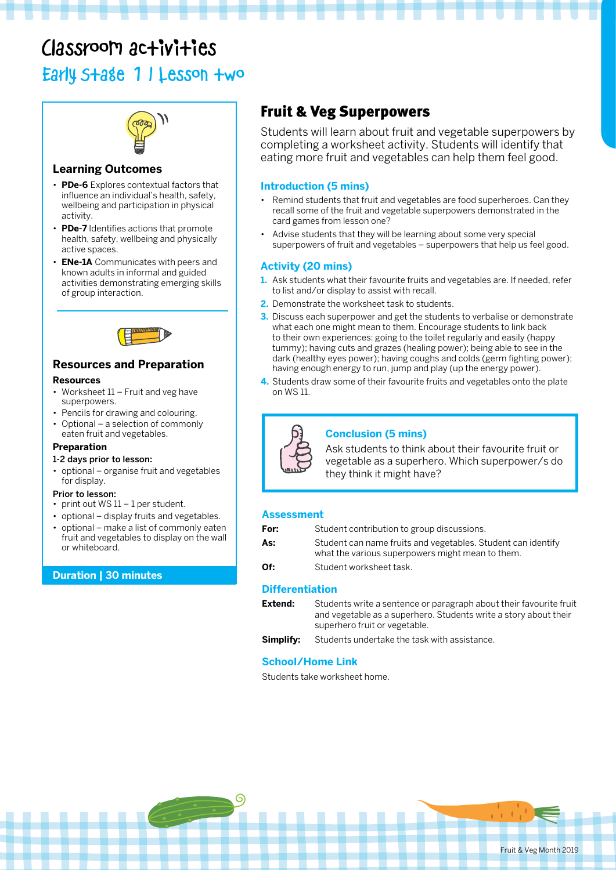# Classroom activities

Early Stage 1 | Lesson two



## **Learning Outcomes**

- **PDe-6** Explores contextual factors that influence an individual's health, safety, wellbeing and participation in physical activity.
- **PDe-7** Identifies actions that promote health, safety, wellbeing and physically active spaces.
- **ENe-1A** Communicates with peers and known adults in informal and guided activities demonstrating emerging skills of group interaction.



## **Resources and Preparation**

#### **Resources**

- Worksheet 11 Fruit and veg have superpowers.
- Pencils for drawing and colouring.
- Optional a selection of commonly eaten fruit and vegetables.

## **Preparation**

## 1-2 days prior to lesson:

• optional – organise fruit and vegetables for display.

## Prior to lesson:

- print out  $WS 11 1$  per student.
- optional display fruits and vegetables.
- optional make a list of commonly eaten fruit and vegetables to display on the wall or whiteboard.

## **Duration | 30 minutes**

## Fruit & Veg Superpowers

Students will learn about fruit and vegetable superpowers by completing a worksheet activity. Students will identify that eating more fruit and vegetables can help them feel good.

## **Introduction (5 mins)**

- Remind students that fruit and vegetables are food superheroes. Can they recall some of the fruit and vegetable superpowers demonstrated in the card games from lesson one?
- Advise students that they will be learning about some very special superpowers of fruit and vegetables – superpowers that help us feel good.

## **Activity (20 mins)**

- **1.** Ask students what their favourite fruits and vegetables are. If needed, refer to list and/or display to assist with recall.
- **2.** Demonstrate the worksheet task to students.
- **3.** Discuss each superpower and get the students to verbalise or demonstrate what each one might mean to them. Encourage students to link back to their own experiences: going to the toilet regularly and easily (happy tummy); having cuts and grazes (healing power); being able to see in the dark (healthy eyes power); having coughs and colds (germ fighting power); having enough energy to run, jump and play (up the energy power).
- **4.** Students draw some of their favourite fruits and vegetables onto the plate on WS 11.



## **Conclusion (5 mins)**

Ask students to think about their favourite fruit or vegetable as a superhero. Which superpower/s do they think it might have?

## **Assessment**

| For: | Student contribution to group discussions.                                                                       |
|------|------------------------------------------------------------------------------------------------------------------|
| As:  | Student can name fruits and vegetables. Student can identify<br>what the various superpowers might mean to them. |
| Of:  | Student worksheet task.                                                                                          |

## **Differentiation**

| Extend: | Students write a sentence or paragraph about their favourite fruit |
|---------|--------------------------------------------------------------------|
|         | and vegetable as a superhero. Students write a story about their   |
|         | superhero fruit or vegetable.                                      |
|         |                                                                    |

**Simplify:** Students undertake the task with assistance.

## **School/Home Link**

G

Students take worksheet home.